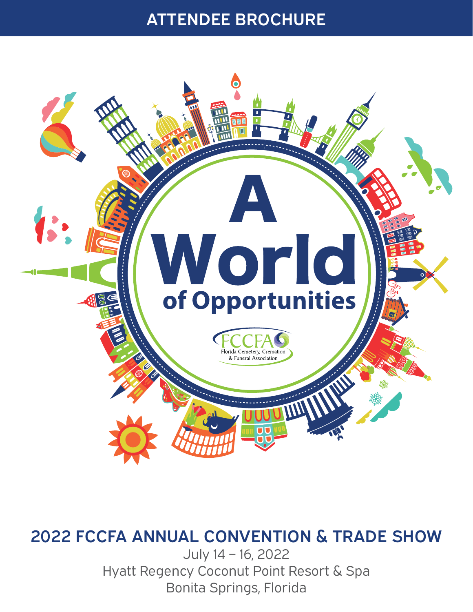# ATTENDEE BROCHURE



# 2022 FCCFA ANNUAL CONVENTION & TRADE SHOW

July 14 – 16, 2022 Hyatt Regency Coconut Point Resort & Spa Bonita Springs, Florida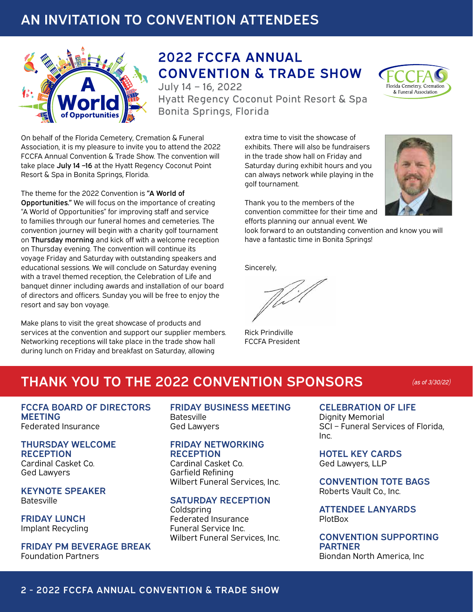## AN INVITATION TO CONVENTION ATTENDEES



# **2022 FCCFA ANNUAL CONVENTION & TRADE SHOW**

July 14 - 16, 2022 Hyatt Regency Coconut Point Resort & Spa Bonita Springs, Florida

On behalf of the Florida Cemetery, Cremation & Funeral Association, it is my pleasure to invite you to attend the 2022 FCCFA Annual Convention & Trade Show. The convention will take place July 14 -16 at the Hyatt Regency Coconut Point Resort & Spa in Bonita Springs, Florida.

The theme for the 2022 Convention is "A World of Opportunities." We will focus on the importance of creating "A World of Opportunities" for improving staff and service to families through our funeral homes and cemeteries. The convention journey will begin with a charity golf tournament on Thursday morning and kick off with a welcome reception on Thursday evening. The convention will continue its voyage Friday and Saturday with outstanding speakers and educational sessions. We will conclude on Saturday evening with a travel themed reception, the Celebration of Life and banquet dinner including awards and installation of our board of directors and officers. Sunday you will be free to enjoy the resort and say bon voyage.

Make plans to visit the great showcase of products and services at the convention and support our supplier members. Networking receptions will take place in the trade show hall during lunch on Friday and breakfast on Saturday, allowing

extra time to visit the showcase of exhibits. There will also be fundraisers in the trade show hall on Friday and Saturday during exhibit hours and you can always network while playing in the golf tournament.



Florida Cemetery, Cremation & Funeral Association

Thank you to the members of the convention committee for their time and efforts planning our annual event. We

look forward to an outstanding convention and know you will have a fantastic time in Bonita Springs!

Sincerely,

Rick Prindiville FCCFA President

## THANK YOU TO THE 2022 CONVENTION SPONSORS *(as of 3/30/22)*

FCCFA BOARD OF DIRECTORS **MEETING** Federated Insurance

THURSDAY WELCOME **RECEPTION** Cardinal Casket Co. Ged Lawyers

KEYNOTE SPEAKER **Batesville** 

FRIDAY LUNCH Implant Recycling

FRIDAY PM BEVERAGE BREAK Foundation Partners

FRIDAY BUSINESS MEETING **Batesville** Ged Lawyers

#### FRIDAY NETWORKING **RECEPTION**

Cardinal Casket Co. Garfield Refining Wilbert Funeral Services, Inc.

#### SATURDAY RECEPTION

Coldspring Federated Insurance Funeral Service Inc. Wilbert Funeral Services, Inc.

CELEBRATION OF LIFE Dignity Memorial SCI – Funeral Services of Florida, Inc.

HOTEL KEY CARDS Ged Lawyers, LLP

CONVENTION TOTE BAGS Roberts Vault Co., Inc.

ATTENDEE LANYARDS PlotBox

#### CONVENTION SUPPORTING PARTNER Biondan North America, Inc

#### 2 - 2022 FCCFA ANNUAL CONVENTION & TRADE SHOW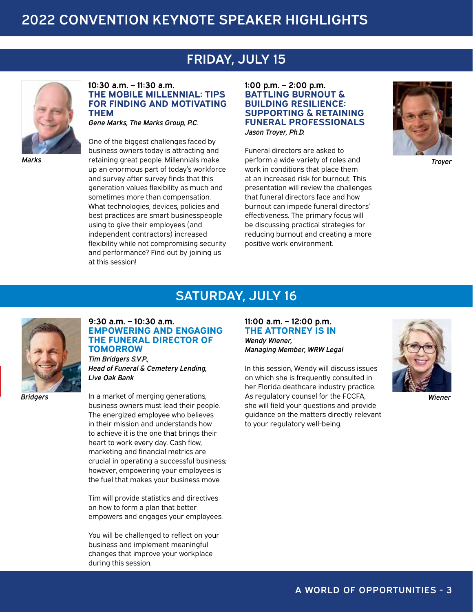## FRIDAY, JULY 15

SATURDAY, JULY 16



**10:30 a.m. – 11:30 a.m. THE MOBILE MILLENNIAL: TIPS FOR FINDING AND MOTIVATING THEM**

*Gene Marks, The Marks Group, P.C.*

One of the biggest challenges faced by business owners today is attracting and retaining great people. Millennials make *Marks Troyer* up an enormous part of today's workforce and survey after survey finds that this generation values flexibility as much and sometimes more than compensation. What technologies, devices, policies and best practices are smart businesspeople using to give their employees (and independent contractors) increased flexibility while not compromising security and performance? Find out by joining us at this session!

**1:00 p.m. – 2:00 p.m. BATTLING BURNOUT & BUILDING RESILIENCE: SUPPORTING & RETAINING FUNERAL PROFESSIONALS** *Jason Troyer, Ph.D.* 

Funeral directors are asked to perform a wide variety of roles and work in conditions that place them at an increased risk for burnout. This presentation will review the challenges that funeral directors face and how burnout can impede funeral directors' effectiveness. The primary focus will be discussing practical strategies for reducing burnout and creating a more positive work environment.





**9:30 a.m. – 10:30 a.m. EMPOWERING AND ENGAGING THE FUNERAL DIRECTOR OF TOMORROW** 

*Tim Bridgers S.V.P., Head of Funeral & Cemetery Lending, Live Oak Bank*

*Bridgers*

In a market of merging generations, business owners must lead their people. The energized employee who believes in their mission and understands how to achieve it is the one that brings their heart to work every day. Cash flow, marketing and financial metrics are crucial in operating a successful business; however, empowering your employees is the fuel that makes your business move.

Tim will provide statistics and directives on how to form a plan that better empowers and engages your employees.

You will be challenged to reflect on your business and implement meaningful changes that improve your workplace during this session.

**11:00 a.m. – 12:00 p.m. THE ATTORNEY IS IN** *Wendy Wiener, Managing Member, WRW Legal*

In this session, Wendy will discuss issues on which she is frequently consulted in her Florida deathcare industry practice. As regulatory counsel for the FCCFA, she will field your questions and provide guidance on the matters directly relevant to your regulatory well-being.



*Wiener*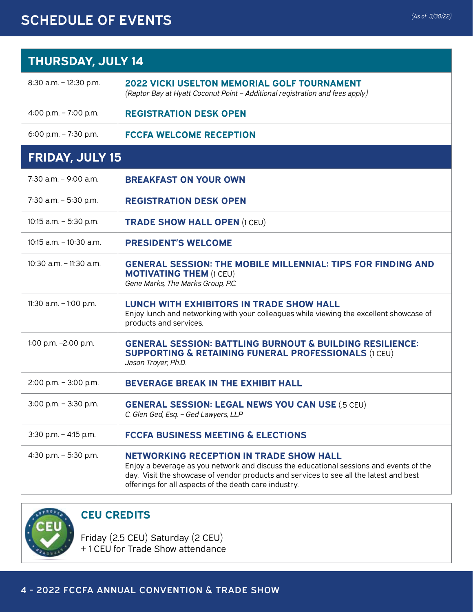## SCHEDULE OF EVENTS *(As of 3/30/22)*

| <b>THURSDAY, JULY 14</b>   |                                                                                                                                                                                                                                                                                             |  |  |  |
|----------------------------|---------------------------------------------------------------------------------------------------------------------------------------------------------------------------------------------------------------------------------------------------------------------------------------------|--|--|--|
| 8:30 a.m. - 12:30 p.m.     | <b>2022 VICKI USELTON MEMORIAL GOLF TOURNAMENT</b><br>(Raptor Bay at Hyatt Coconut Point - Additional registration and fees apply)                                                                                                                                                          |  |  |  |
| 4:00 p.m. $- 7:00$ p.m.    | <b>REGISTRATION DESK OPEN</b>                                                                                                                                                                                                                                                               |  |  |  |
| 6:00 p.m. $- 7:30$ p.m.    | <b>FCCFA WELCOME RECEPTION</b>                                                                                                                                                                                                                                                              |  |  |  |
| <b>FRIDAY, JULY 15</b>     |                                                                                                                                                                                                                                                                                             |  |  |  |
| $7:30$ a.m. $-9:00$ a.m.   | <b>BREAKFAST ON YOUR OWN</b>                                                                                                                                                                                                                                                                |  |  |  |
| 7:30 a.m. - 5:30 p.m.      | <b>REGISTRATION DESK OPEN</b>                                                                                                                                                                                                                                                               |  |  |  |
| 10:15 $a.m. - 5:30$ p.m.   | <b>TRADE SHOW HALL OPEN (1 CEU)</b>                                                                                                                                                                                                                                                         |  |  |  |
| $10:15$ a.m. $-10:30$ a.m. | <b>PRESIDENT'S WELCOME</b>                                                                                                                                                                                                                                                                  |  |  |  |
| $10:30$ a.m. $-11:30$ a.m. | <b>GENERAL SESSION: THE MOBILE MILLENNIAL: TIPS FOR FINDING AND</b><br><b>MOTIVATING THEM (1 CEU)</b><br>Gene Marks, The Marks Group, P.C.                                                                                                                                                  |  |  |  |
| 11:30 a.m. - 1:00 p.m.     | <b>LUNCH WITH EXHIBITORS IN TRADE SHOW HALL</b><br>Enjoy lunch and networking with your colleagues while viewing the excellent showcase of<br>products and services.                                                                                                                        |  |  |  |
| 1:00 p.m. -2:00 p.m.       | <b>GENERAL SESSION: BATTLING BURNOUT &amp; BUILDING RESILIENCE:</b><br><b>SUPPORTING &amp; RETAINING FUNERAL PROFESSIONALS (1 CEU)</b><br>Jason Troyer, Ph.D.                                                                                                                               |  |  |  |
| 2:00 p.m. $-$ 3:00 p.m.    | <b>BEVERAGE BREAK IN THE EXHIBIT HALL</b>                                                                                                                                                                                                                                                   |  |  |  |
| $3:00$ p.m. $-3:30$ p.m.   | <b>GENERAL SESSION: LEGAL NEWS YOU CAN USE (.5 CEU)</b><br>C. Glen Ged, Esq. - Ged Lawyers, LLP                                                                                                                                                                                             |  |  |  |
| $3:30$ p.m. $-4:15$ p.m.   | <b>FCCFA BUSINESS MEETING &amp; ELECTIONS</b>                                                                                                                                                                                                                                               |  |  |  |
| 4:30 p.m. - 5:30 p.m.      | <b>NETWORKING RECEPTION IN TRADE SHOW HALL</b><br>Enjoy a beverage as you network and discuss the educational sessions and events of the<br>day. Visit the showcase of vendor products and services to see all the latest and best<br>offerings for all aspects of the death care industry. |  |  |  |



#### **CEU CREDITS**

Friday (2.5 CEU) Saturday (2 CEU) + 1 CEU for Trade Show attendance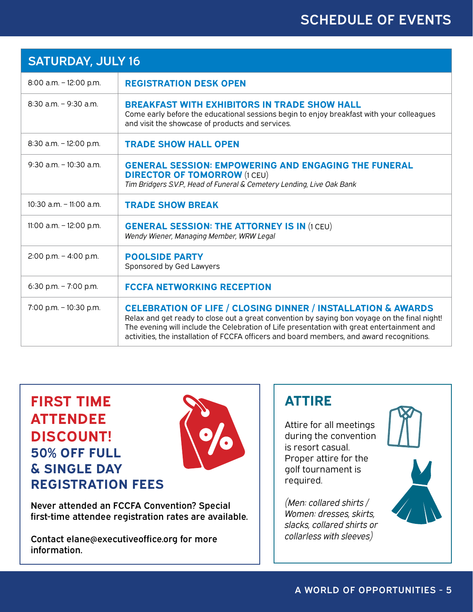## SCHEDULE OF EVENTS

| <b>SATURDAY, JULY 16</b>   |                                                                                                                                                                                                                                                                                                                                                                    |  |
|----------------------------|--------------------------------------------------------------------------------------------------------------------------------------------------------------------------------------------------------------------------------------------------------------------------------------------------------------------------------------------------------------------|--|
| 8:00 a.m. - 12:00 p.m.     | <b>REGISTRATION DESK OPEN</b>                                                                                                                                                                                                                                                                                                                                      |  |
| $8:30$ a.m. $-9:30$ a.m.   | <b>BREAKFAST WITH EXHIBITORS IN TRADE SHOW HALL</b><br>Come early before the educational sessions begin to enjoy breakfast with your colleagues<br>and visit the showcase of products and services.                                                                                                                                                                |  |
| 8:30 a.m. - 12:00 p.m.     | <b>TRADE SHOW HALL OPEN</b>                                                                                                                                                                                                                                                                                                                                        |  |
| $9:30$ a.m. $-10:30$ a.m.  | <b>GENERAL SESSION: EMPOWERING AND ENGAGING THE FUNERAL</b><br><b>DIRECTOR OF TOMORROW (1 CEU)</b><br>Tim Bridgers S.V.P., Head of Funeral & Cemetery Lending, Live Oak Bank                                                                                                                                                                                       |  |
| $10:30$ a.m. $-11:00$ a.m. | <b>TRADE SHOW BREAK</b>                                                                                                                                                                                                                                                                                                                                            |  |
| 11:00 a.m. $-$ 12:00 p.m.  | <b>GENERAL SESSION: THE ATTORNEY IS IN (1 CEU)</b><br>Wendy Wiener, Managing Member, WRW Legal                                                                                                                                                                                                                                                                     |  |
| 2:00 p.m. $-$ 4:00 p.m.    | <b>POOLSIDE PARTY</b><br>Sponsored by Ged Lawyers                                                                                                                                                                                                                                                                                                                  |  |
| 6:30 p.m. $-7:00$ p.m.     | <b>FCCFA NETWORKING RECEPTION</b>                                                                                                                                                                                                                                                                                                                                  |  |
| 7:00 p.m. - 10:30 p.m.     | <b>CELEBRATION OF LIFE / CLOSING DINNER / INSTALLATION &amp; AWARDS</b><br>Relax and get ready to close out a great convention by saying bon voyage on the final night!<br>The evening will include the Celebration of Life presentation with great entertainment and<br>activities, the installation of FCCFA officers and board members, and award recognitions. |  |

## **FIRST TIME ATTENDEE DISCOUNT! 50% OFF FULL & SINGLE DAY REGISTRATION FEES**



Never attended an FCCFA Convention? Special first-time attendee registration rates are available.

Contact elane@executiveoffice.org for more information.

### **ATTIRE**

Attire for all meetings during the convention is resort casual. Proper attire for the golf tournament is required.

*(Men: collared shirts / Women: dresses, skirts, slacks, collared shirts or collarless with sleeves)*

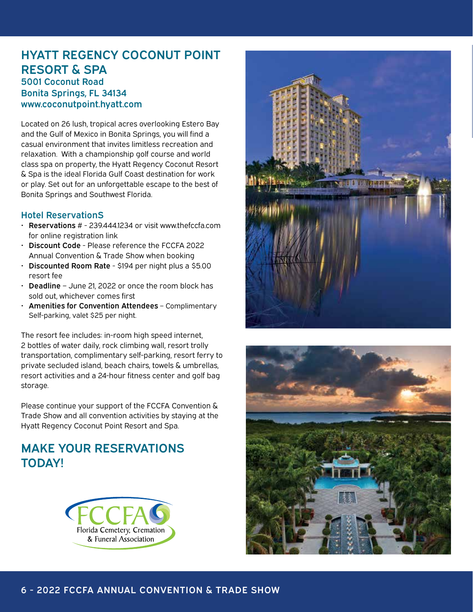#### HYATT REGENCY COCONUT POINT RESORT & SPA 5001 Coconut Road Bonita Springs, FL 34134 [www.coconutpoint.hyatt.com](http://www.coconutpoint.hyatt.com)

Located on 26 lush, tropical acres overlooking Estero Bay and the Gulf of Mexico in Bonita Springs, you will find a casual environment that invites limitless recreation and relaxation. With a championship golf course and world class spa on property, the Hyatt Regency Coconut Resort & Spa is the ideal Florida Gulf Coast destination for work or play. Set out for an unforgettable escape to the best of Bonita Springs and Southwest Florida.

#### Hotel ReservationS

- Reservations # 239.444.1234 or visit [www.thefccfa.](http://www.thefccfa.org)com for online registration link
- Discount Code Please reference the FCCFA 2022 Annual Convention & Trade Show when booking
- Discounted Room Rate \$194 per night plus a \$5.00 resort fee
- Deadline June 21, 2022 or once the room block has sold out, whichever comes first
- Amenities for Convention Attendees Complimentary Self-parking, valet \$25 per night.

The resort fee includes: in-room high speed internet, 2 bottles of water daily, rock climbing wall, resort trolly transportation, complimentary self-parking, resort ferry to private secluded island, beach chairs, towels & umbrellas, resort activities and a 24-hour fitness center and golf bag storage.

Please continue your support of the FCCFA Convention & Trade Show and all convention activities by staying at the Hyatt Regency Coconut Point Resort and Spa.

### MAKE YOUR RESERVATIONS TODAY!





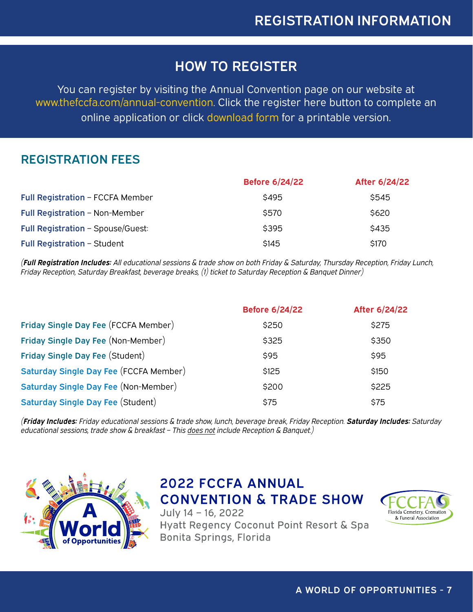## HOW TO REGISTER

You can register by visiting the Annual Convention page on our website at www.thefccfa.com/annual-convention. Click the register here button to complete an online application or click download form for a printable version.

### REGISTRATION FEES

|                                    | <b>Before 6/24/22</b> | After 6/24/22 |
|------------------------------------|-----------------------|---------------|
| Full Registration - FCCFA Member   | \$495                 | \$545         |
| Full Registration - Non-Member     | \$570                 | \$620         |
| Full Registration - Spouse/Guest:  | \$395                 | \$435         |
| <b>Full Registration - Student</b> | \$145                 | \$170         |

*(Full Registration Includes: All educational sessions & trade show on both Friday & Saturday, Thursday Reception, Friday Lunch, Friday Reception, Saturday Breakfast, beverage breaks, (1) ticket to Saturday Reception & Banquet Dinner)*

|                                        | <b>Before 6/24/22</b> | After 6/24/22 |
|----------------------------------------|-----------------------|---------------|
| Friday Single Day Fee (FCCFA Member)   | \$250                 | \$275         |
| Friday Single Day Fee (Non-Member)     | \$325                 | \$350         |
| Friday Single Day Fee (Student)        | \$95                  | \$95          |
| Saturday Single Day Fee (FCCFA Member) | \$125                 | \$150         |
| Saturday Single Day Fee (Non-Member)   | \$200                 | \$225         |
| Saturday Single Day Fee (Student)      | \$75                  | \$75          |

*(Friday Includes: Friday educational sessions & trade show, lunch, beverage break, Friday Reception. Saturday Includes: Saturday educational sessions, trade show & breakfast – This does not include Reception & Banquet.)*



**2022 FCCFA ANNUAL CONVENTION & TRADE SHOW** July 14 - 16, 2022 Hyatt Regency Coconut Point Resort & Spa Bonita Springs, Florida